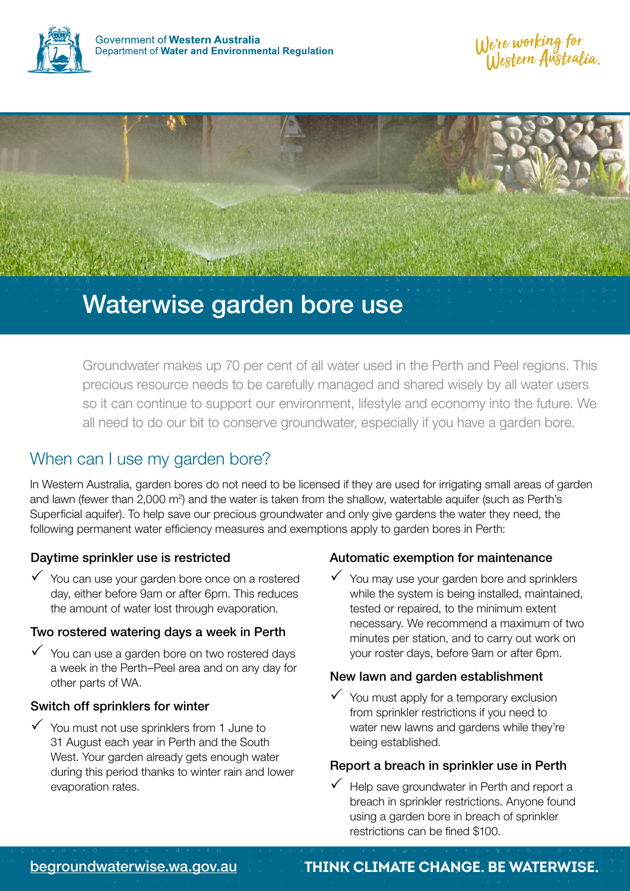



# Waterwise garden bore use

Groundwater makes up 70 per cent of all water used in the Perth and Peel regions. This precious resource needs to be carefully managed and shared wisely by all water users so it can continue to support our environment, lifestyle and economy into the future. We all need to do our bit to conserve groundwater, especially if you have a garden bore.

## When can I use my garden bore?

In Western Australia, garden bores do not need to be licensed if they are used for irrigating small areas of garden and lawn (fewer than 2,000 m<sup>2</sup>) and the water is taken from the shallow, watertable aquifer (such as Perth's Superficial aquifer). To help save our precious groundwater and only give gardens the water they need, the following permanent water efficiency measures and exemptions apply to garden bores in Perth:

### Daytime sprinkler use is restricted

 $\checkmark$  You can use your garden bore once on a rostered day, either before 9am or after 6pm. This reduces the amount of water lost through evaporation.

### Two rostered watering days a week in Perth

 $\checkmark$  You can use a garden bore on two rostered days a week in the Perth–Peel area and on any day for other parts of WA.

### Switch off sprinklers for winter

 $\checkmark$  You must not use sprinklers from 1 June to 31 August each year in Perth and the South West. Your garden already gets enough water during this period thanks to winter rain and lower evaporation rates.

### Automatic exemption for maintenance

 $\checkmark$  You may use your garden bore and sprinklers while the system is being installed, maintained, tested or repaired, to the minimum extent necessary. We recommend a maximum of two minutes per station, and to carry out work on your roster days, before 9am or after 6pm.

### New lawn and garden establishment

 $\checkmark$  You must apply for a temporary exclusion from sprinkler restrictions if you need to water new lawns and gardens while they're being established.

#### Report a breach in sprinkler use in Perth

 $\checkmark$  Help save groundwater in Perth and report a breach in sprinkler restrictions. Anyone found using a garden bore in breach of sprinkler restrictions can be fined \$100.

### [begroundwaterwise.wa.gov.au](http://www.begroundwaterwise.wa.gov.au) **Think CLIMATE CHANGE. BE waterwise.**